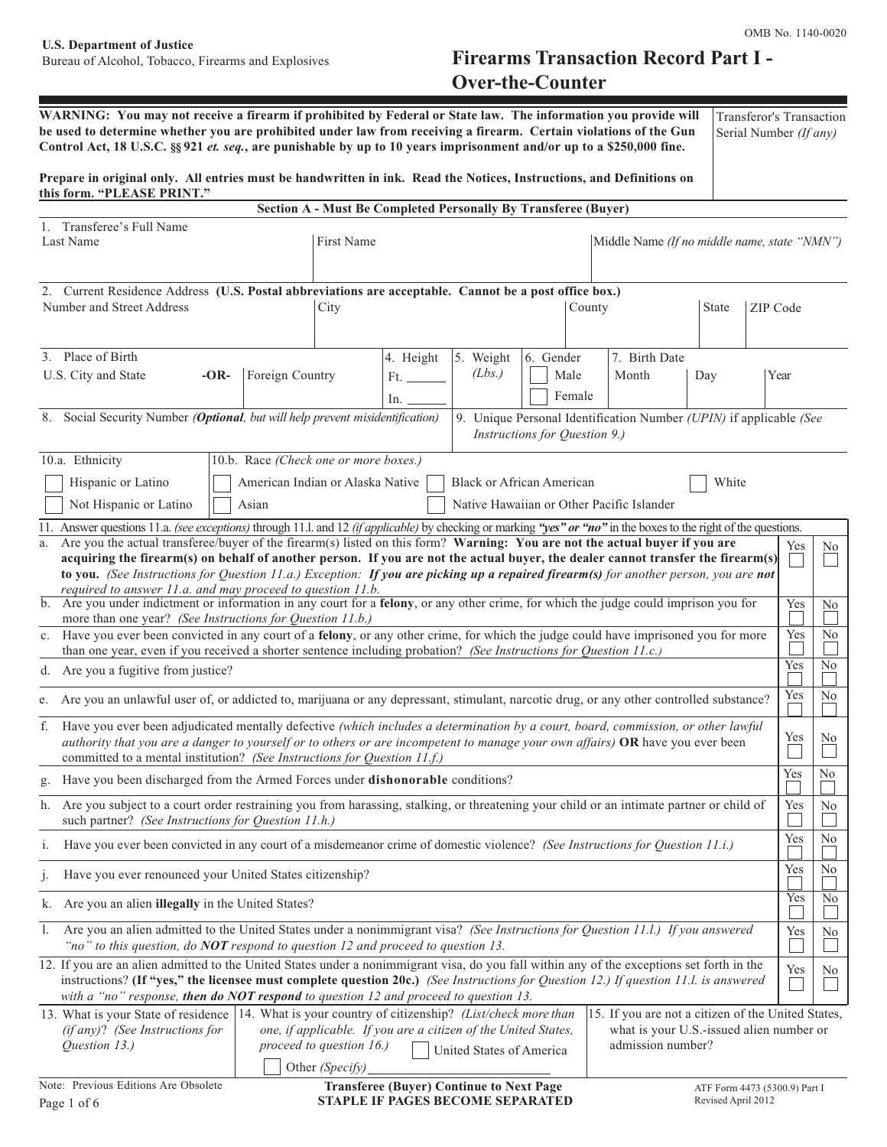# Bureau of Alcohol, Tobacco, Firearms and Explosives **Firearms Transaction Record Part I - Over-the-Counter**

| WARNING: You may not receive a firearm if prohibited by Federal or State law. The information you provide will<br>be used to determine whether you are prohibited under law from receiving a firearm. Certain violations of the Gun<br>Control Act, 18 U.S.C. §§ 921 et. seq., are punishable by up to 10 years imprisonment and/or up to a \$250,000 fine.                                                                                                                 |                                                                                    |                 |            |                                                                |                               |        |                                                                    |                |          | Transferor's Transaction<br>Serial Number (If any) |    |
|-----------------------------------------------------------------------------------------------------------------------------------------------------------------------------------------------------------------------------------------------------------------------------------------------------------------------------------------------------------------------------------------------------------------------------------------------------------------------------|------------------------------------------------------------------------------------|-----------------|------------|----------------------------------------------------------------|-------------------------------|--------|--------------------------------------------------------------------|----------------|----------|----------------------------------------------------|----|
| Prepare in original only. All entries must be handwritten in ink. Read the Notices, Instructions, and Definitions on<br>this form. "PLEASE PRINT."                                                                                                                                                                                                                                                                                                                          |                                                                                    |                 |            |                                                                |                               |        |                                                                    |                |          |                                                    |    |
|                                                                                                                                                                                                                                                                                                                                                                                                                                                                             |                                                                                    |                 |            | Section A - Must Be Completed Personally By Transferee (Buyer) |                               |        |                                                                    |                |          |                                                    |    |
| 1. Transferee's Full Name<br>Last Name                                                                                                                                                                                                                                                                                                                                                                                                                                      |                                                                                    | First Name      |            |                                                                |                               |        | Middle Name (If no middle name, state "NMN")                       |                |          |                                                    |    |
| 2. Current Residence Address (U.S. Postal abbreviations are acceptable. Cannot be a post office box.)<br>Number and Street Address                                                                                                                                                                                                                                                                                                                                          |                                                                                    | City            |            |                                                                |                               | County |                                                                    | <b>State</b>   | ZIP Code |                                                    |    |
| 3. Place of Birth                                                                                                                                                                                                                                                                                                                                                                                                                                                           |                                                                                    |                 | 4. Height  | 5. Weight                                                      | 6. Gender                     |        | 7. Birth Date                                                      |                |          |                                                    |    |
| U.S. City and State<br>$-OR-$                                                                                                                                                                                                                                                                                                                                                                                                                                               | Foreign Country                                                                    |                 | Ft.<br>ln. | (Lbs.)                                                         | Male                          | Female | Month                                                              | Day            |          | Year                                               |    |
| Social Security Number (Optional, but will help prevent misidentification)<br>8.                                                                                                                                                                                                                                                                                                                                                                                            |                                                                                    |                 |            |                                                                | Instructions for Question 9.) |        | 9. Unique Personal Identification Number (UPIN) if applicable (See |                |          |                                                    |    |
| 10.a. Ethnicity<br>Hispanic or Latino<br>Not Hispanic or Latino                                                                                                                                                                                                                                                                                                                                                                                                             | 10.b. Race (Check one or more boxes.)<br>American Indian or Alaska Native<br>Asian |                 |            | <b>Black or African American</b>                               |                               |        | Native Hawaiian or Other Pacific Islander                          | White          |          |                                                    |    |
| 11. Answer questions 11.a. (see exceptions) through 11.l. and 12 (if applicable) by checking or marking "yes" or "no" in the boxes to the right of the questions.                                                                                                                                                                                                                                                                                                           |                                                                                    |                 |            |                                                                |                               |        |                                                                    |                |          |                                                    |    |
| Are you the actual transferee/buyer of the firearm(s) listed on this form? Warning: You are not the actual buyer if you are<br>a.<br>acquiring the firearm(s) on behalf of another person. If you are not the actual buyer, the dealer cannot transfer the firearm(s)<br>to you. (See Instructions for Question 11.a.) Exception: If you are picking up a repaired firearm(s) for another person, you are not<br>required to answer 11.a. and may proceed to question 11.b. |                                                                                    |                 |            |                                                                |                               |        |                                                                    |                |          | Yes                                                | No |
| b. Are you under indictment or information in any court for a felony, or any other crime, for which the judge could imprison you for<br>more than one year? (See Instructions for Question 11.b.)                                                                                                                                                                                                                                                                           |                                                                                    |                 |            |                                                                |                               |        | Yes<br>Yes                                                         | N <sub>0</sub> |          |                                                    |    |
| c. Have you ever been convicted in any court of a felony, or any other crime, for which the judge could have imprisoned you for more<br>than one year, even if you received a shorter sentence including probation? (See Instructions for Question 11.c.)                                                                                                                                                                                                                   |                                                                                    |                 |            |                                                                |                               |        |                                                                    | No             |          |                                                    |    |
| d. Are you a fugitive from justice?                                                                                                                                                                                                                                                                                                                                                                                                                                         |                                                                                    |                 |            |                                                                |                               |        | Yes                                                                | N <sub>o</sub> |          |                                                    |    |
| Are you an unlawful user of, or addicted to, marijuana or any depressant, stimulant, narcotic drug, or any other controlled substance?<br>e.                                                                                                                                                                                                                                                                                                                                |                                                                                    |                 |            |                                                                |                               |        | Yes                                                                | No             |          |                                                    |    |
| f. Have you ever been adjudicated mentally defective (which includes a determination by a court, board, commission, or other lawful<br>authority that you are a danger to yourself or to others or are incompetent to manage your own affairs) OR have you ever been<br>committed to a mental institution? (See Instructions for Question 11.f.)                                                                                                                            |                                                                                    |                 |            |                                                                |                               |        |                                                                    | Yes            | No       |                                                    |    |
| Have you been discharged from the Armed Forces under <b>dishonorable</b> conditions?<br>g.                                                                                                                                                                                                                                                                                                                                                                                  |                                                                                    |                 |            |                                                                |                               |        | Yes                                                                | No             |          |                                                    |    |
| h. Are you subject to a court order restraining you from harassing, stalking, or threatening your child or an intimate partner or child of<br>such partner? (See Instructions for Question 11.h.)                                                                                                                                                                                                                                                                           |                                                                                    |                 |            |                                                                |                               |        | Yes                                                                | No             |          |                                                    |    |
| Have you ever been convicted in any court of a misdemeanor crime of domestic violence? (See Instructions for Question 11.i.)<br>1.                                                                                                                                                                                                                                                                                                                                          |                                                                                    |                 |            |                                                                |                               |        | Yes                                                                | N <sub>0</sub> |          |                                                    |    |
| Have you ever renounced your United States citizenship?<br>1.                                                                                                                                                                                                                                                                                                                                                                                                               |                                                                                    |                 |            |                                                                |                               |        | Yes                                                                | No             |          |                                                    |    |
| Are you an alien <b>illegally</b> in the United States?<br>k.                                                                                                                                                                                                                                                                                                                                                                                                               |                                                                                    |                 |            |                                                                |                               |        | Yes                                                                | No             |          |                                                    |    |
| 1. Are you an alien admitted to the United States under a nonimmigrant visa? (See Instructions for Question 11.1.) If you answered<br>"no" to this question, do NOT respond to question 12 and proceed to question 13.                                                                                                                                                                                                                                                      |                                                                                    |                 |            |                                                                |                               |        | Yes                                                                | No             |          |                                                    |    |
| 12. If you are an alien admitted to the United States under a nonimmigrant visa, do you fall within any of the exceptions set forth in the<br>instructions? (If "yes," the licensee must complete question 20c.) (See Instructions for Question 12.) If question 11.1. is answered<br>with a "no" response, then do NOT respond to question 12 and proceed to question 13.                                                                                                  |                                                                                    |                 |            |                                                                |                               |        |                                                                    |                |          | Yes                                                | No |
| 14. What is your country of citizenship? (List/check more than<br>15. If you are not a citizen of the United States,<br>13. What is your State of residence<br>one, if applicable. If you are a citizen of the United States,<br>(if any)? (See Instructions for<br>what is your U.S.-issued alien number or<br>admission number?<br>Question 13.)<br>proceed to question $16$ .)<br>United States of America                                                               |                                                                                    |                 |            |                                                                |                               |        |                                                                    |                |          |                                                    |    |
| Note: Previous Editions Are Obsolete                                                                                                                                                                                                                                                                                                                                                                                                                                        |                                                                                    | Other (Specify) |            | Transferge (Durcan) Continue to Next Dog                       |                               |        |                                                                    |                |          |                                                    |    |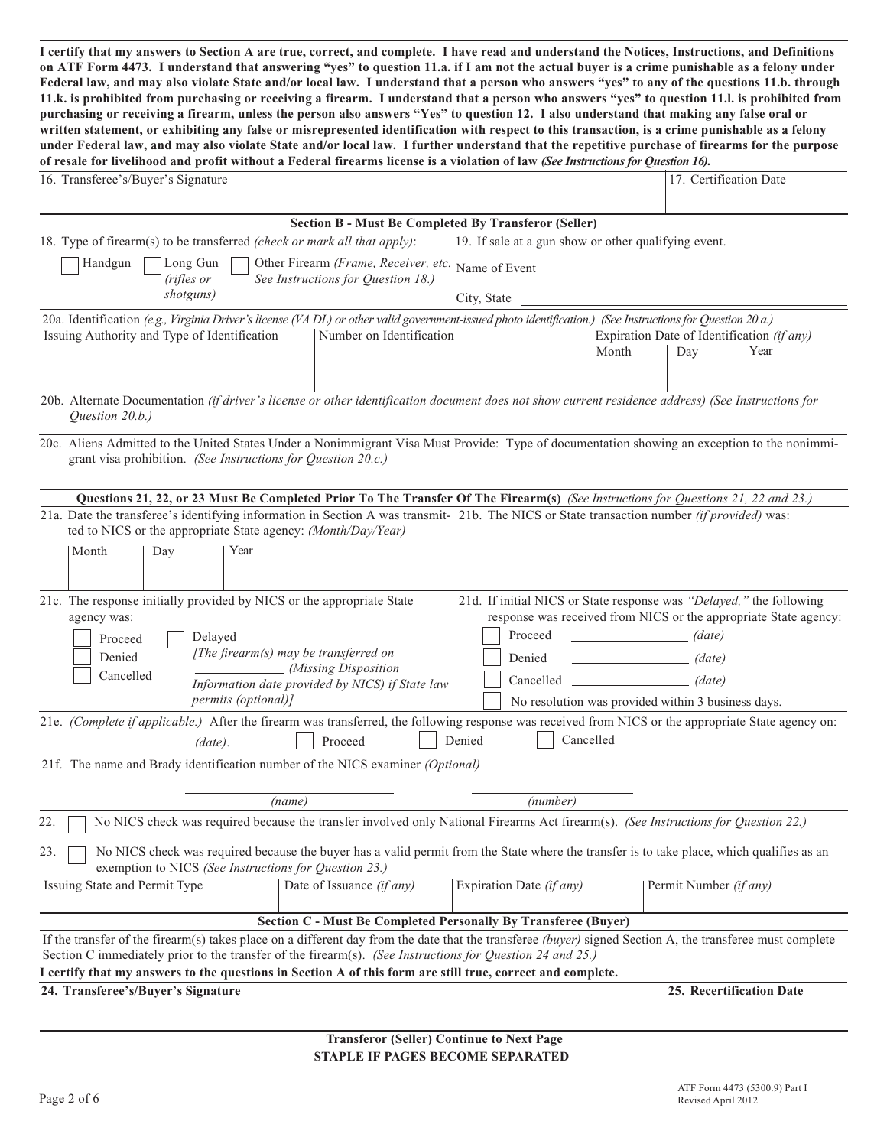**I certify that my answers to Section A are true, correct, and complete. I have read and understand the Notices, Instructions, and Definitions on ATF Form 4473. I understand that answering "yes" to question 11.a. if I am not the actual buyer is a crime punishable as a felony under Federal law, and may also violate State and/or local law. I understand that a person who answers "yes" to any of the questions 11.b. through 11.k. is prohibited from purchasing or receiving a firearm. I understand that a person who answers "yes" to question 11.l. is prohibited from purchasing or receiving a firearm, unless the person also answers "Yes" to question 12. I also understand that making any false oral or written statement, or exhibiting any false or misrepresented identification with respect to this transaction, is a crime punishable as a felony under Federal law, and may also violate State and/or local law. I further understand that the repetitive purchase of firearms for the purpose of resale for livelihood and profit without a Federal firearms license is a violation of law** *(See Instructions for Question 16).*

| 16. Transferee's/Buyer's Signature                                                                                                                                                                                                                                     |                                                                                                                                                                          | 17. Certification Date                 |                                                   |      |  |  |  |
|------------------------------------------------------------------------------------------------------------------------------------------------------------------------------------------------------------------------------------------------------------------------|--------------------------------------------------------------------------------------------------------------------------------------------------------------------------|----------------------------------------|---------------------------------------------------|------|--|--|--|
|                                                                                                                                                                                                                                                                        |                                                                                                                                                                          |                                        |                                                   |      |  |  |  |
| <b>Section B - Must Be Completed By Transferor (Seller)</b>                                                                                                                                                                                                            |                                                                                                                                                                          |                                        |                                                   |      |  |  |  |
| 18. Type of firearm(s) to be transferred (check or mark all that apply):                                                                                                                                                                                               | 19. If sale at a gun show or other qualifying event.                                                                                                                     |                                        |                                                   |      |  |  |  |
| Other Firearm (Frame, Receiver, etc.<br>Long Gun<br>Handgun<br>(rifles or<br>See Instructions for Question 18.)                                                                                                                                                        | Name of Event                                                                                                                                                            |                                        |                                                   |      |  |  |  |
| shotguns)                                                                                                                                                                                                                                                              | City, State                                                                                                                                                              |                                        |                                                   |      |  |  |  |
| 20a. Identification (e.g., Virginia Driver's license (VA DL) or other valid government-issued photo identification.) (See Instructions for Question 20.a.)                                                                                                             |                                                                                                                                                                          |                                        |                                                   |      |  |  |  |
| Issuing Authority and Type of Identification<br>Number on Identification                                                                                                                                                                                               |                                                                                                                                                                          | Month                                  | Expiration Date of Identification (if any)<br>Day | Year |  |  |  |
| 20b. Alternate Documentation (if driver's license or other identification document does not show current residence address) (See Instructions for<br>Question 20.b.)                                                                                                   |                                                                                                                                                                          |                                        |                                                   |      |  |  |  |
| 20c. Aliens Admitted to the United States Under a Nonimmigrant Visa Must Provide: Type of documentation showing an exception to the nonimmi-<br>grant visa prohibition. (See Instructions for Question 20.c.)                                                          |                                                                                                                                                                          |                                        |                                                   |      |  |  |  |
| Questions 21, 22, or 23 Must Be Completed Prior To The Transfer Of The Firearm(s) (See Instructions for Questions 21, 22 and 23.)                                                                                                                                      |                                                                                                                                                                          |                                        |                                                   |      |  |  |  |
| 21a. Date the transferee's identifying information in Section A was transmit- 21b. The NICS or State transaction number (if provided) was:<br>ted to NICS or the appropriate State agency: (Month/Day/Year)                                                            |                                                                                                                                                                          |                                        |                                                   |      |  |  |  |
| Month<br>Day<br>Year                                                                                                                                                                                                                                                   |                                                                                                                                                                          |                                        |                                                   |      |  |  |  |
| 21c. The response initially provided by NICS or the appropriate State<br>agency was:<br>Delayed<br>Proceed                                                                                                                                                             | 21d. If initial NICS or State response was "Delayed," the following<br>response was received from NICS or the appropriate State agency:<br>Proceed<br>$\frac{1}{(date)}$ |                                        |                                                   |      |  |  |  |
| [The firearm(s) may be transferred on<br>Denied                                                                                                                                                                                                                        | Denied                                                                                                                                                                   | the control of the control of the con- | (date)                                            |      |  |  |  |
| _ (Missing Disposition<br>Cancelled<br>Information date provided by NICS) if State law                                                                                                                                                                                 | Cancelled (date)                                                                                                                                                         |                                        |                                                   |      |  |  |  |
| <i>permits (optional)]</i>                                                                                                                                                                                                                                             | No resolution was provided within 3 business days.                                                                                                                       |                                        |                                                   |      |  |  |  |
| 21e. (Complete if applicable.) After the firearm was transferred, the following response was received from NICS or the appropriate State agency on:<br>Denied<br>Cancelled<br>Proceed<br>$(data)$ .                                                                    |                                                                                                                                                                          |                                        |                                                   |      |  |  |  |
| 21f. The name and Brady identification number of the NICS examiner (Optional)                                                                                                                                                                                          |                                                                                                                                                                          |                                        |                                                   |      |  |  |  |
| (name)                                                                                                                                                                                                                                                                 | (number)                                                                                                                                                                 |                                        |                                                   |      |  |  |  |
| No NICS check was required because the transfer involved only National Firearms Act firearm(s). (See Instructions for Question 22.)<br>22.                                                                                                                             |                                                                                                                                                                          |                                        |                                                   |      |  |  |  |
| 23.<br>No NICS check was required because the buyer has a valid permit from the State where the transfer is to take place, which qualifies as an<br>exemption to NICS (See Instructions for Question 23.)                                                              |                                                                                                                                                                          |                                        |                                                   |      |  |  |  |
| Issuing State and Permit Type<br>Date of Issuance (if any)<br>Expiration Date (if any)<br>Permit Number (if any)                                                                                                                                                       |                                                                                                                                                                          |                                        |                                                   |      |  |  |  |
| Section C - Must Be Completed Personally By Transferee (Buyer)                                                                                                                                                                                                         |                                                                                                                                                                          |                                        |                                                   |      |  |  |  |
| If the transfer of the firearm(s) takes place on a different day from the date that the transferee (buyer) signed Section A, the transferee must complete<br>Section C immediately prior to the transfer of the firearm(s). (See Instructions for Question 24 and 25.) |                                                                                                                                                                          |                                        |                                                   |      |  |  |  |
| I certify that my answers to the questions in Section A of this form are still true, correct and complete.                                                                                                                                                             |                                                                                                                                                                          |                                        |                                                   |      |  |  |  |
| 24. Transferee's/Buyer's Signature                                                                                                                                                                                                                                     |                                                                                                                                                                          |                                        | 25. Recertification Date                          |      |  |  |  |
|                                                                                                                                                                                                                                                                        |                                                                                                                                                                          |                                        |                                                   |      |  |  |  |

# **Transferor (Seller) Continue to Next Page STAPLE IF PAGES BECOME SEPARATED**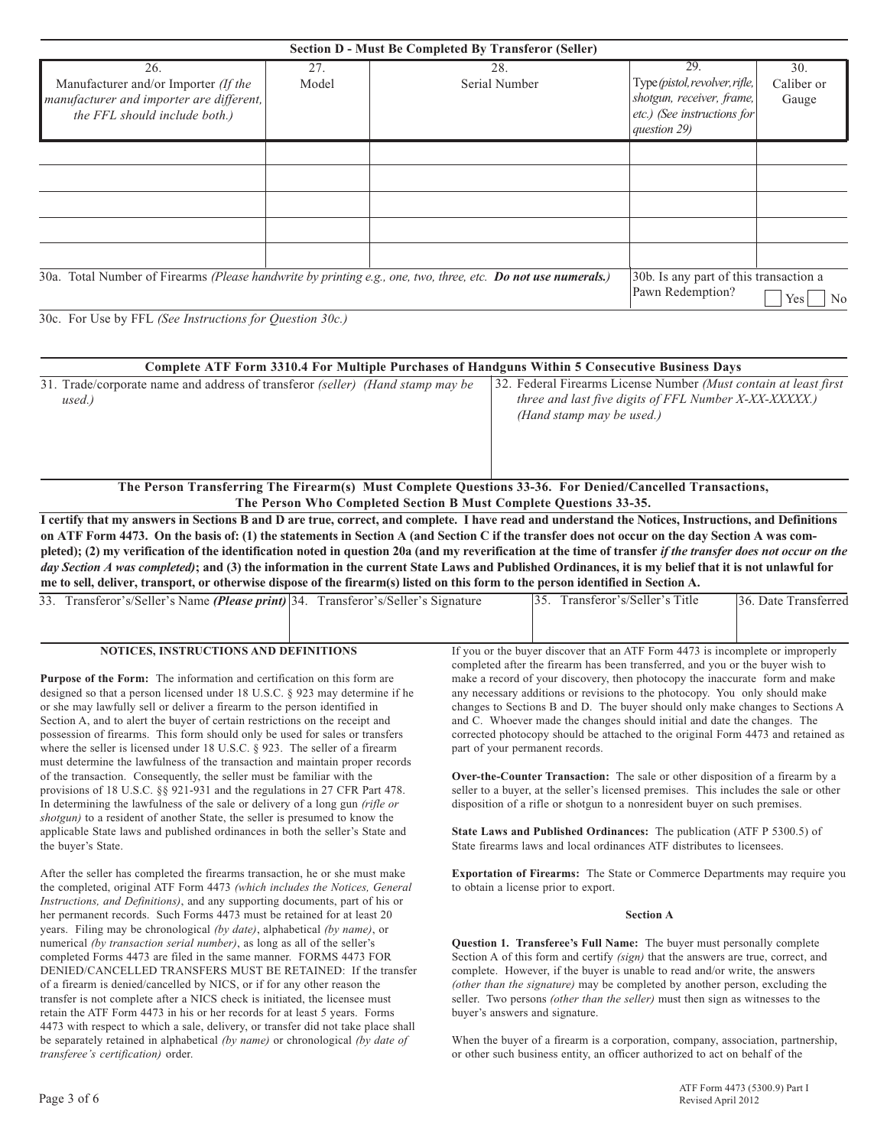| <b>Section D - Must Be Completed By Transferor (Seller)</b>                                                              |              |                                                                                                               |                                                                                                                       |                            |  |  |  |
|--------------------------------------------------------------------------------------------------------------------------|--------------|---------------------------------------------------------------------------------------------------------------|-----------------------------------------------------------------------------------------------------------------------|----------------------------|--|--|--|
| 26.<br>Manufacturer and/or Importer (If the<br>manufacturer and importer are different,<br>the FFL should include both.) | 27.<br>Model | 28.<br>Serial Number                                                                                          | 29.<br>Type (pistol, revolver, rifle,<br>shotgun, receiver, frame,<br>$ $ etc.) (See instructions for<br>question 29) | 30.<br>Caliber or<br>Gauge |  |  |  |
|                                                                                                                          |              |                                                                                                               |                                                                                                                       |                            |  |  |  |
|                                                                                                                          |              |                                                                                                               |                                                                                                                       |                            |  |  |  |
|                                                                                                                          |              | 30a. Total Number of Firearms (Please handwrite by printing e.g., one, two, three, etc. Do not use numerals.) | 30b. Is any part of this transaction a<br>Pawn Redemption?                                                            | No<br>Yes                  |  |  |  |

30c. For Use by FFL *(See Instructions for Question 30c.)*

| Complete ATF Form 3310.4 For Multiple Purchases of Handguns Within 5 Consecutive Business Days |                                                                   |  |  |  |  |  |
|------------------------------------------------------------------------------------------------|-------------------------------------------------------------------|--|--|--|--|--|
| 31. Trade/corporate name and address of transferor <i>(seller) (Hand stamp may be</i>          | 32. Federal Firearms License Number (Must contain at least first) |  |  |  |  |  |
| used.)                                                                                         | <i>three and last five digits of FFL Number X-XX-XXXXX.)</i>      |  |  |  |  |  |
|                                                                                                | (Hand stamp may be used.)                                         |  |  |  |  |  |
|                                                                                                |                                                                   |  |  |  |  |  |
|                                                                                                |                                                                   |  |  |  |  |  |

**The Person Transferring The Firearm(s) Must Complete Questions 33-36. For Denied/Cancelled Transactions, The Person Who Completed Section B Must Complete Questions 33-35.**

**I certify that my answers in Sections B and D are true, correct, and complete. I have read and understand the Notices, Instructions, and Definitions on ATF Form 4473. On the basis of: (1) the statements in Section A (and Section C if the transfer does not occur on the day Section A was com**pleted); (2) my verification of the identification noted in question 20a (and my reverification at the time of transfer *if the transfer does not occur on the day Section A was completed)***; and (3) the information in the current State Laws and Published Ordinances, it is my belief that it is not unlawful for me to sell, deliver, transport, or otherwise dispose of the firearm(s) listed on this form to the person identified in Section A.**

| 33. Transferor's/Seller's Name (Please print) 34. Transferor's/Seller's Signature      |                                                                                      | 35. Transferor's/Seller's Title                                                                                                                                  | 36. Date Transferred |  |  |  |  |
|----------------------------------------------------------------------------------------|--------------------------------------------------------------------------------------|------------------------------------------------------------------------------------------------------------------------------------------------------------------|----------------------|--|--|--|--|
|                                                                                        |                                                                                      |                                                                                                                                                                  |                      |  |  |  |  |
| <b>NOTICES, INSTRUCTIONS AND DEFINITIONS</b>                                           |                                                                                      | If you or the buyer discover that an ATF Form 4473 is incomplete or improperly<br>completed after the firearm has been transferred, and you or the buyer wish to |                      |  |  |  |  |
| <b>Purpose of the Form:</b> The information and certification on this form are         |                                                                                      | make a record of your discovery, then photocopy the inaccurate form and make                                                                                     |                      |  |  |  |  |
| designed so that a person licensed under 18 U.S.C. $\S$ 923 may determine if he        |                                                                                      | any necessary additions or revisions to the photocopy. You only should make                                                                                      |                      |  |  |  |  |
| or she may lawfully sell or deliver a firearm to the person identified in              | changes to Sections B and D. The buyer should only make changes to Sections A        |                                                                                                                                                                  |                      |  |  |  |  |
| Section A, and to alert the buyer of certain restrictions on the receipt and           |                                                                                      | and C. Whoever made the changes should initial and date the changes. The                                                                                         |                      |  |  |  |  |
| possession of firearms. This form should only be used for sales or transfers           |                                                                                      | corrected photocopy should be attached to the original Form 4473 and retained as                                                                                 |                      |  |  |  |  |
| where the seller is licensed under 18 U.S.C. $\S$ 923. The seller of a firearm         |                                                                                      | part of your permanent records.                                                                                                                                  |                      |  |  |  |  |
| must determine the lawfulness of the transaction and maintain proper records           |                                                                                      |                                                                                                                                                                  |                      |  |  |  |  |
| of the transaction. Consequently, the seller must be familiar with the                 | <b>Over-the-Counter Transaction:</b> The sale or other disposition of a firearm by a |                                                                                                                                                                  |                      |  |  |  |  |
| provisions of 18 U.S.C. §§ 921-931 and the regulations in 27 CFR Part 478.             |                                                                                      | seller to a buyer, at the seller's licensed premises. This includes the sale or other                                                                            |                      |  |  |  |  |
| In determining the lawfulness of the sale or delivery of a long gun <i>(rifle or</i> ) |                                                                                      | disposition of a rifle or shotgun to a nonresident buyer on such premises.                                                                                       |                      |  |  |  |  |
| <i>shotgun</i> ) to a resident of another State, the seller is presumed to know the    |                                                                                      |                                                                                                                                                                  |                      |  |  |  |  |

**State Laws and Published Ordinances:** The publication (ATF P 5300.5) of State firearms laws and local ordinances ATF distributes to licensees.

**Exportation of Firearms:** The State or Commerce Departments may require you to obtain a license prior to export.

## **Section A**

**Question 1. Transferee's Full Name:** The buyer must personally complete Section A of this form and certify *(sign)* that the answers are true, correct, and complete. However, if the buyer is unable to read and/or write, the answers *(other than the signature)* may be completed by another person, excluding the seller. Two persons *(other than the seller)* must then sign as witnesses to the buyer's answers and signature.

When the buyer of a firearm is a corporation, company, association, partnership, or other such business entity, an officer authorized to act on behalf of the

applicable State laws and published ordinances in both the seller's State and the buyer's State.

After the seller has completed the firearms transaction, he or she must make the completed, original ATF Form 4473 *(which includes the Notices, General Instructions, and Definitions)*, and any supporting documents, part of his or her permanent records. Such Forms 4473 must be retained for at least 20 years. Filing may be chronological *(by date)*, alphabetical *(by name)*, or numerical *(by transaction serial number)*, as long as all of the seller's completed Forms 4473 are filed in the same manner. FORMS 4473 FOR DENIED/CANCELLED TRANSFERS MUST BE RETAINED: If the transfer of a firearm is denied/cancelled by NICS, or if for any other reason the transfer is not complete after a NICS check is initiated, the licensee must retain the ATF Form 4473 in his or her records for at least 5 years. Forms 4473 with respect to which a sale, delivery, or transfer did not take place shall be separately retained in alphabetical *(by name)* or chronological *(by date of transferee's certification)* order.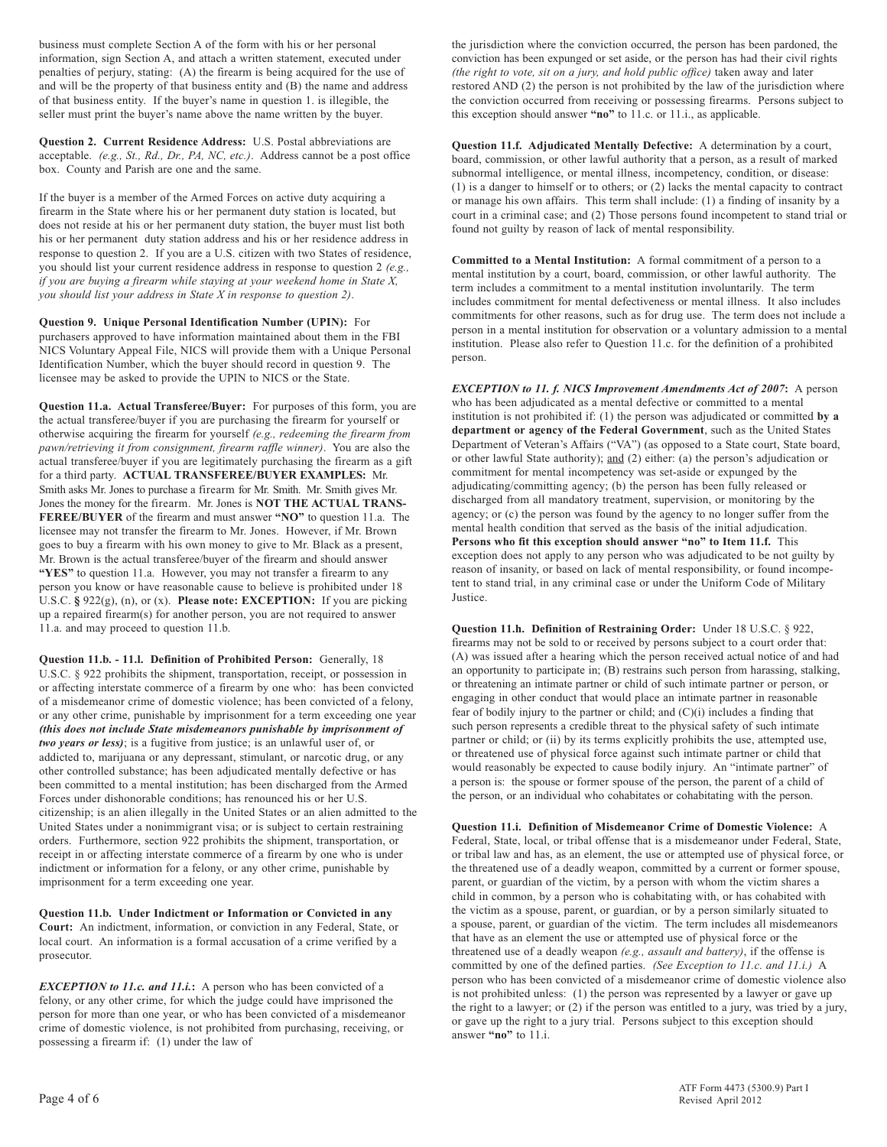business must complete Section A of the form with his or her personal information, sign Section A, and attach a written statement, executed under penalties of perjury, stating: (A) the firearm is being acquired for the use of and will be the property of that business entity and (B) the name and address of that business entity. If the buyer's name in question 1. is illegible, the seller must print the buyer's name above the name written by the buyer.

**Question 2. Current Residence Address:** U.S. Postal abbreviations are acceptable. *(e.g., St., Rd., Dr., PA, NC, etc.)*. Address cannot be a post office box. County and Parish are one and the same.

If the buyer is a member of the Armed Forces on active duty acquiring a firearm in the State where his or her permanent duty station is located, but does not reside at his or her permanent duty station, the buyer must list both his or her permanent duty station address and his or her residence address in response to question 2. If you are a U.S. citizen with two States of residence, you should list your current residence address in response to question 2 *(e.g., if you are buying a firearm while staying at your weekend home in State X, you should list your address in State X in response to question 2)*.

**Question 9. Unique Personal Identification Number (UPIN):** For purchasers approved to have information maintained about them in the FBI NICS Voluntary Appeal File, NICS will provide them with a Unique Personal Identification Number, which the buyer should record in question 9. The licensee may be asked to provide the UPIN to NICS or the State.

**Question 11.a. Actual Transferee/Buyer:** For purposes of this form, you are the actual transferee/buyer if you are purchasing the firearm for yourself or otherwise acquiring the firearm for yourself *(e.g., redeeming the firearm from pawn/retrieving it from consignment, firearm raffle winner)*. You are also the actual transferee/buyer if you are legitimately purchasing the firearm as a gift for a third party. **ACTUAL TRANSFEREE/BUYER EXAMPLES:** Mr. Smith asks Mr. Jones to purchase a firearm for Mr. Smith. Mr. Smith gives Mr. Jones the money for the firearm. Mr. Jones is **NOT THE ACTUAL TRANS-FEREE/BUYER** of the firearm and must answer **"NO"** to question 11.a. The licensee may not transfer the firearm to Mr. Jones. However, if Mr. Brown goes to buy a firearm with his own money to give to Mr. Black as a present, Mr. Brown is the actual transferee/buyer of the firearm and should answer **"YES"** to question 11.a. However, you may not transfer a firearm to any person you know or have reasonable cause to believe is prohibited under 18 U.S.C. **§** 922(g), (n), or (x). **Please note: EXCEPTION:** If you are picking up a repaired firearm(s) for another person, you are not required to answer 11.a. and may proceed to question 11.b.

**Question 11.b. - 11.l. Definition of Prohibited Person:** Generally, 18 U.S.C. § 922 prohibits the shipment, transportation, receipt, or possession in or affecting interstate commerce of a firearm by one who: has been convicted of a misdemeanor crime of domestic violence; has been convicted of a felony, or any other crime, punishable by imprisonment for a term exceeding one year *(this does not include State misdemeanors punishable by imprisonment of two years or less)*; is a fugitive from justice; is an unlawful user of, or addicted to, marijuana or any depressant, stimulant, or narcotic drug, or any other controlled substance; has been adjudicated mentally defective or has been committed to a mental institution; has been discharged from the Armed Forces under dishonorable conditions; has renounced his or her U.S. citizenship; is an alien illegally in the United States or an alien admitted to the United States under a nonimmigrant visa; or is subject to certain restraining orders. Furthermore, section 922 prohibits the shipment, transportation, or receipt in or affecting interstate commerce of a firearm by one who is under indictment or information for a felony, or any other crime, punishable by imprisonment for a term exceeding one year.

**Question 11.b. Under Indictment or Information or Convicted in any Court:** An indictment, information, or conviction in any Federal, State, or local court. An information is a formal accusation of a crime verified by a prosecutor.

*EXCEPTION to 11.c. and 11.i.***:** A person who has been convicted of a felony, or any other crime, for which the judge could have imprisoned the person for more than one year, or who has been convicted of a misdemeanor crime of domestic violence, is not prohibited from purchasing, receiving, or possessing a firearm if: (1) under the law of

the jurisdiction where the conviction occurred, the person has been pardoned, the conviction has been expunged or set aside, or the person has had their civil rights *(the right to vote, sit on a jury, and hold public office)* taken away and later restored AND (2) the person is not prohibited by the law of the jurisdiction where the conviction occurred from receiving or possessing firearms. Persons subject to this exception should answer **"no"** to 11.c. or 11.i., as applicable.

**Question 11.f. Adjudicated Mentally Defective:** A determination by a court, board, commission, or other lawful authority that a person, as a result of marked subnormal intelligence, or mental illness, incompetency, condition, or disease: (1) is a danger to himself or to others; or (2) lacks the mental capacity to contract or manage his own affairs. This term shall include: (1) a finding of insanity by a court in a criminal case; and (2) Those persons found incompetent to stand trial or found not guilty by reason of lack of mental responsibility.

**Committed to a Mental Institution:** A formal commitment of a person to a mental institution by a court, board, commission, or other lawful authority. The term includes a commitment to a mental institution involuntarily. The term includes commitment for mental defectiveness or mental illness. It also includes commitments for other reasons, such as for drug use. The term does not include a person in a mental institution for observation or a voluntary admission to a mental institution. Please also refer to Question 11.c. for the definition of a prohibited person.

*EXCEPTION to 11. f. NICS Improvement Amendments Act of 2007***:** A person who has been adjudicated as a mental defective or committed to a mental institution is not prohibited if: (1) the person was adjudicated or committed **by a department or agency of the Federal Government**, such as the United States Department of Veteran's Affairs ("VA") (as opposed to a State court, State board, or other lawful State authority); and (2) either: (a) the person's adjudication or commitment for mental incompetency was set-aside or expunged by the adjudicating/committing agency; (b) the person has been fully released or discharged from all mandatory treatment, supervision, or monitoring by the agency; or (c) the person was found by the agency to no longer suffer from the mental health condition that served as the basis of the initial adjudication. **Persons who fit this exception should answer "no" to Item 11.f.** This exception does not apply to any person who was adjudicated to be not guilty by reason of insanity, or based on lack of mental responsibility, or found incompetent to stand trial, in any criminal case or under the Uniform Code of Military Justice.

**Question 11.h. Definition of Restraining Order:** Under 18 U.S.C. § 922, firearms may not be sold to or received by persons subject to a court order that: (A) was issued after a hearing which the person received actual notice of and had an opportunity to participate in; (B) restrains such person from harassing, stalking, or threatening an intimate partner or child of such intimate partner or person, or engaging in other conduct that would place an intimate partner in reasonable fear of bodily injury to the partner or child; and (C)(i) includes a finding that such person represents a credible threat to the physical safety of such intimate partner or child; or (ii) by its terms explicitly prohibits the use, attempted use, or threatened use of physical force against such intimate partner or child that would reasonably be expected to cause bodily injury. An "intimate partner" of a person is: the spouse or former spouse of the person, the parent of a child of the person, or an individual who cohabitates or cohabitating with the person.

**Question 11.i. Definition of Misdemeanor Crime of Domestic Violence:** A Federal, State, local, or tribal offense that is a misdemeanor under Federal, State, or tribal law and has, as an element, the use or attempted use of physical force, or the threatened use of a deadly weapon, committed by a current or former spouse, parent, or guardian of the victim, by a person with whom the victim shares a child in common, by a person who is cohabitating with, or has cohabited with the victim as a spouse, parent, or guardian, or by a person similarly situated to a spouse, parent, or guardian of the victim. The term includes all misdemeanors that have as an element the use or attempted use of physical force or the threatened use of a deadly weapon *(e.g., assault and battery)*, if the offense is committed by one of the defined parties. *(See Exception to 11.c. and 11.i.)* A person who has been convicted of a misdemeanor crime of domestic violence also is not prohibited unless: (1) the person was represented by a lawyer or gave up the right to a lawyer; or (2) if the person was entitled to a jury, was tried by a jury, or gave up the right to a jury trial. Persons subject to this exception should answer **"no"** to 11.i.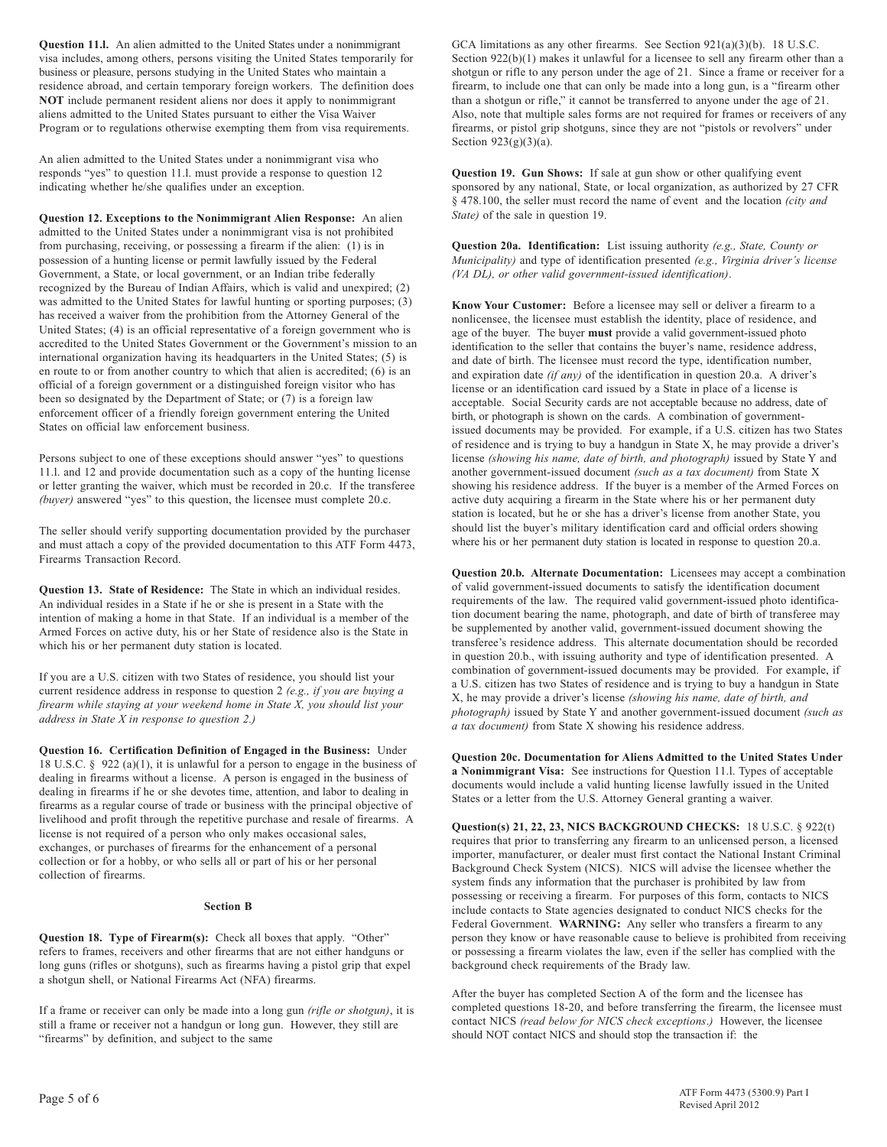**Question 11.l.** An alien admitted to the United States under a nonimmigrant visa includes, among others, persons visiting the United States temporarily for business or pleasure, persons studying in the United States who maintain a residence abroad, and certain temporary foreign workers. The definition does **NOT** include permanent resident aliens nor does it apply to nonimmigrant aliens admitted to the United States pursuant to either the Visa Waiver Program or to regulations otherwise exempting them from visa requirements.

An alien admitted to the United States under a nonimmigrant visa who responds "yes" to question 11.l. must provide a response to question 12 indicating whether he/she qualifies under an exception.

**Question 12. Exceptions to the Nonimmigrant Alien Response:** An alien admitted to the United States under a nonimmigrant visa is not prohibited from purchasing, receiving, or possessing a firearm if the alien: (1) is in possession of a hunting license or permit lawfully issued by the Federal Government, a State, or local government, or an Indian tribe federally recognized by the Bureau of Indian Affairs, which is valid and unexpired; (2) was admitted to the United States for lawful hunting or sporting purposes; (3) has received a waiver from the prohibition from the Attorney General of the United States; (4) is an official representative of a foreign government who is accredited to the United States Government or the Government's mission to an international organization having its headquarters in the United States; (5) is en route to or from another country to which that alien is accredited; (6) is an official of a foreign government or a distinguished foreign visitor who has been so designated by the Department of State; or (7) is a foreign law enforcement officer of a friendly foreign government entering the United States on official law enforcement business.

Persons subject to one of these exceptions should answer "yes" to questions 11.l. and 12 and provide documentation such as a copy of the hunting license or letter granting the waiver, which must be recorded in 20.c. If the transferee *(buyer)* answered "yes" to this question, the licensee must complete 20.c.

The seller should verify supporting documentation provided by the purchaser and must attach a copy of the provided documentation to this ATF Form 4473, Firearms Transaction Record.

**Question 13. State of Residence:** The State in which an individual resides. An individual resides in a State if he or she is present in a State with the intention of making a home in that State. If an individual is a member of the Armed Forces on active duty, his or her State of residence also is the State in which his or her permanent duty station is located.

If you are a U.S. citizen with two States of residence, you should list your current residence address in response to question 2 *(e.g., if you are buying a firearm while staying at your weekend home in State X, you should list your address in State X in response to question 2.)*

**Question 16. Certification Definition of Engaged in the Business:** Under 18 U.S.C. § 922 (a)(1), it is unlawful for a person to engage in the business of dealing in firearms without a license. A person is engaged in the business of dealing in firearms if he or she devotes time, attention, and labor to dealing in firearms as a regular course of trade or business with the principal objective of livelihood and profit through the repetitive purchase and resale of firearms. A license is not required of a person who only makes occasional sales, exchanges, or purchases of firearms for the enhancement of a personal collection or for a hobby, or who sells all or part of his or her personal collection of firearms.

## **Section B**

**Question 18. Type of Firearm(s):** Check all boxes that apply. "Other" refers to frames, receivers and other firearms that are not either handguns or long guns (rifles or shotguns), such as firearms having a pistol grip that expel a shotgun shell, or National Firearms Act (NFA) firearms.

If a frame or receiver can only be made into a long gun *(rifle or shotgun)*, it is still a frame or receiver not a handgun or long gun. However, they still are "firearms" by definition, and subject to the same

GCA limitations as any other firearms. See Section 921(a)(3)(b). 18 U.S.C. Section 922(b)(1) makes it unlawful for a licensee to sell any firearm other than a shotgun or rifle to any person under the age of 21. Since a frame or receiver for a firearm, to include one that can only be made into a long gun, is a "firearm other than a shotgun or rifle," it cannot be transferred to anyone under the age of 21. Also, note that multiple sales forms are not required for frames or receivers of any firearms, or pistol grip shotguns, since they are not "pistols or revolvers" under Section  $923(g)(3)(a)$ .

**Question 19. Gun Shows:** If sale at gun show or other qualifying event sponsored by any national, State, or local organization, as authorized by 27 CFR § 478.100, the seller must record the name of event and the location *(city and State)* of the sale in question 19.

**Question 20a. Identification:** List issuing authority *(e.g., State, County or Municipality)* and type of identification presented *(e.g., Virginia driver's license (VA DL), or other valid government-issued identification)*.

**Know Your Customer:** Before a licensee may sell or deliver a firearm to a nonlicensee, the licensee must establish the identity, place of residence, and age of the buyer. The buyer **must** provide a valid government-issued photo identification to the seller that contains the buyer's name, residence address, and date of birth. The licensee must record the type, identification number, and expiration date *(if any)* of the identification in question 20.a. A driver's license or an identification card issued by a State in place of a license is acceptable. Social Security cards are not acceptable because no address, date of birth, or photograph is shown on the cards. A combination of governmentissued documents may be provided. For example, if a U.S. citizen has two States of residence and is trying to buy a handgun in State X, he may provide a driver's license *(showing his name, date of birth, and photograph)* issued by State Y and another government-issued document *(such as a tax document)* from State X showing his residence address. If the buyer is a member of the Armed Forces on active duty acquiring a firearm in the State where his or her permanent duty station is located, but he or she has a driver's license from another State, you should list the buyer's military identification card and official orders showing where his or her permanent duty station is located in response to question 20.a.

**Question 20.b. Alternate Documentation:** Licensees may accept a combination of valid government-issued documents to satisfy the identification document requirements of the law. The required valid government-issued photo identification document bearing the name, photograph, and date of birth of transferee may be supplemented by another valid, government-issued document showing the transferee's residence address. This alternate documentation should be recorded in question 20.b., with issuing authority and type of identification presented. A combination of government-issued documents may be provided. For example, if a U.S. citizen has two States of residence and is trying to buy a handgun in State X, he may provide a driver's license *(showing his name, date of birth, and photograph)* issued by State Y and another government-issued document *(such as a tax document)* from State X showing his residence address.

**Question 20c. Documentation for Aliens Admitted to the United States Under a Nonimmigrant Visa:** See instructions for Question 11.l. Types of acceptable documents would include a valid hunting license lawfully issued in the United States or a letter from the U.S. Attorney General granting a waiver.

**Question(s) 21, 22, 23, NICS BACKGROUND CHECKS:** 18 U.S.C. § 922(t) requires that prior to transferring any firearm to an unlicensed person, a licensed importer, manufacturer, or dealer must first contact the National Instant Criminal Background Check System (NICS). NICS will advise the licensee whether the system finds any information that the purchaser is prohibited by law from possessing or receiving a firearm. For purposes of this form, contacts to NICS include contacts to State agencies designated to conduct NICS checks for the Federal Government. **WARNING:** Any seller who transfers a firearm to any person they know or have reasonable cause to believe is prohibited from receiving or possessing a firearm violates the law, even if the seller has complied with the background check requirements of the Brady law.

After the buyer has completed Section A of the form and the licensee has completed questions 18-20, and before transferring the firearm, the licensee must contact NICS *(read below for NICS check exceptions*.*)* However, the licensee should NOT contact NICS and should stop the transaction if: the